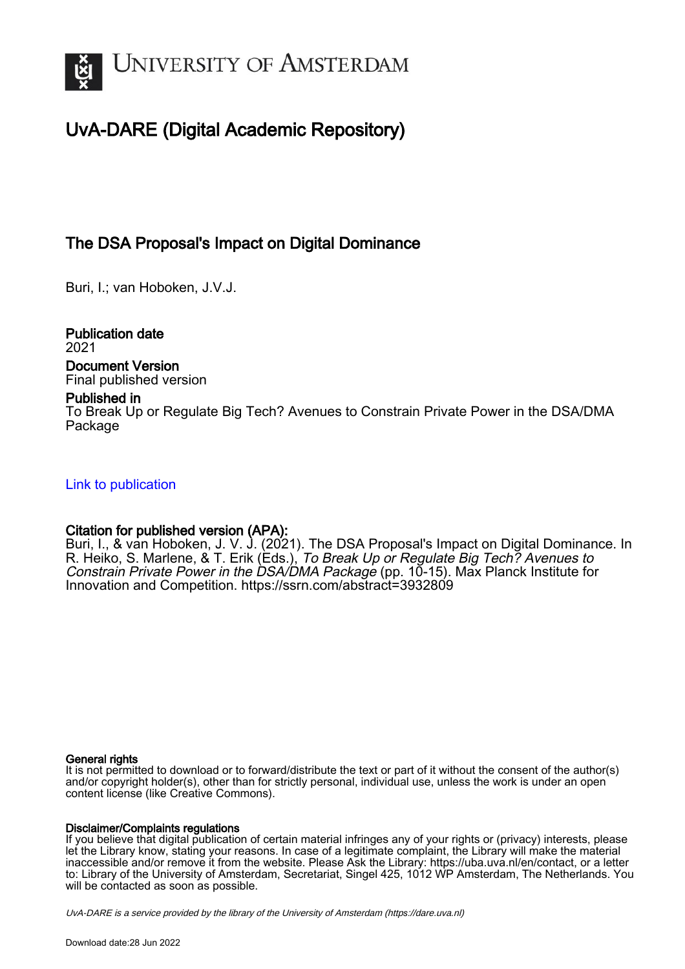

## UvA-DARE (Digital Academic Repository)

## The DSA Proposal's Impact on Digital Dominance

Buri, I.; van Hoboken, J.V.J.

Publication date 2021

Document Version Final published version

#### Published in

To Break Up or Regulate Big Tech? Avenues to Constrain Private Power in the DSA/DMA Package

#### [Link to publication](https://dare.uva.nl/personal/pure/en/publications/the-dsa-proposals-impact-on-digital-dominance(75e0bea5-ef56-4411-8eee-fd4a4d6a07ec).html)

#### Citation for published version (APA):

Buri, I., & van Hoboken, J. V. J. (2021). The DSA Proposal's Impact on Digital Dominance. In R. Heiko, S. Marlene, & T. Erik (Eds.), To Break Up or Regulate Big Tech? Avenues to Constrain Private Power in the DSA/DMA Package (pp. 10-15). Max Planck Institute for Innovation and Competition. <https://ssrn.com/abstract=3932809>

#### General rights

It is not permitted to download or to forward/distribute the text or part of it without the consent of the author(s) and/or copyright holder(s), other than for strictly personal, individual use, unless the work is under an open content license (like Creative Commons).

#### Disclaimer/Complaints regulations

If you believe that digital publication of certain material infringes any of your rights or (privacy) interests, please let the Library know, stating your reasons. In case of a legitimate complaint, the Library will make the material inaccessible and/or remove it from the website. Please Ask the Library: https://uba.uva.nl/en/contact, or a letter to: Library of the University of Amsterdam, Secretariat, Singel 425, 1012 WP Amsterdam, The Netherlands. You will be contacted as soon as possible.

UvA-DARE is a service provided by the library of the University of Amsterdam (http*s*://dare.uva.nl)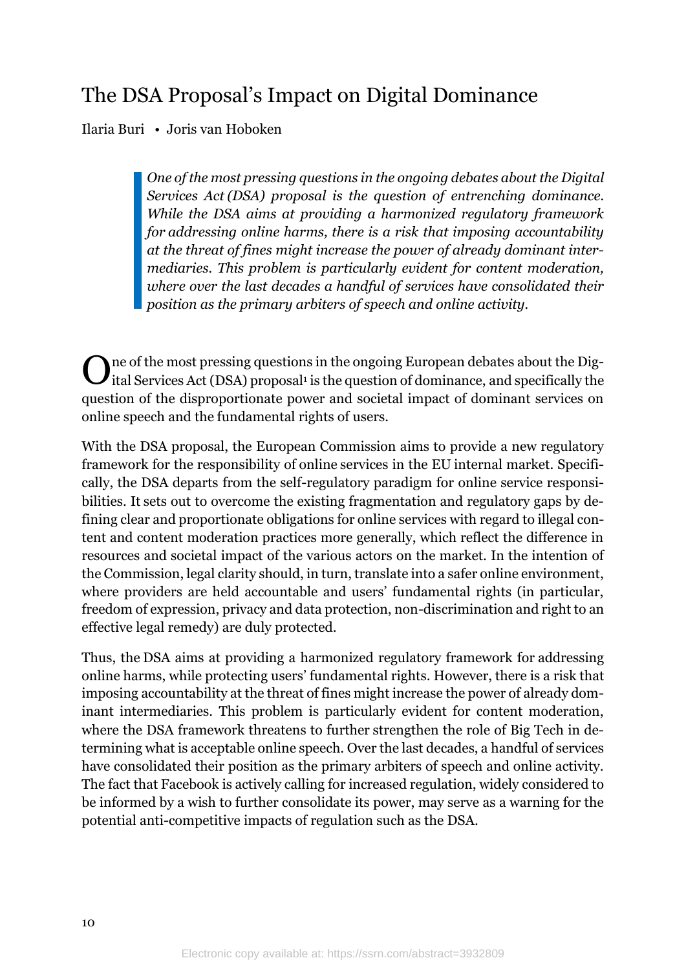# The DSA Proposal's Impact on Digital Dominance

Ilaria Buri • Joris van Hoboken

*One of the most pressing questions in the ongoing debates about the Digital Services Act (DSA) proposal is the question of entrenching dominance. While the DSA aims at providing a harmonized regulatory framework for addressing online harms, there is a risk that imposing accountability at the threat of fines might increase the power of already dominant intermediaries. This problem is particularly evident for content moderation, where over the last decades a handful of services have consolidated their position as the primary arbiters of speech and online activity.*

ne of the most pressing questions in the ongoing European debates about the Dig- $\bf{O}$ ne of the most pressing questions in the ongoing European debates about the Digital Services Act (DSA) proposal<sup>1</sup> is the question of dominance, and specifically the question of the disproportionate power and societal impact of dominant services on online speech and the fundamental rights of users.

With the DSA proposal, the European Commission aims to provide a new regulatory framework for the responsibility of online services in the EU internal market. Specifically, the DSA departs from the self-regulatory paradigm for online service responsibilities. It sets out to overcome the existing fragmentation and regulatory gaps by defining clear and proportionate obligations for online services with regard to illegal content and content moderation practices more generally, which reflect the difference in resources and societal impact of the various actors on the market. In the intention of the Commission, legal clarity should, in turn, translate into a safer online environment, where providers are held accountable and users' fundamental rights (in particular, freedom of expression, privacy and data protection, non-discrimination and right to an effective legal remedy) are duly protected.

Thus, the DSA aims at providing a harmonized regulatory framework for addressing online harms, while protecting users' fundamental rights. However, there is a risk that imposing accountability at the threat of fines might increase the power of already dominant intermediaries. This problem is particularly evident for content moderation, where the DSA framework threatens to further strengthen the role of Big Tech in determining what is acceptable online speech. Over the last decades, a handful of services have consolidated their position as the primary arbiters of speech and online activity. The fact that Facebook is actively calling for increased regulation, widely considered to be informed by a wish to further consolidate its power, may serve as a warning for the potential anti-competitive impacts of regulation such as the DSA.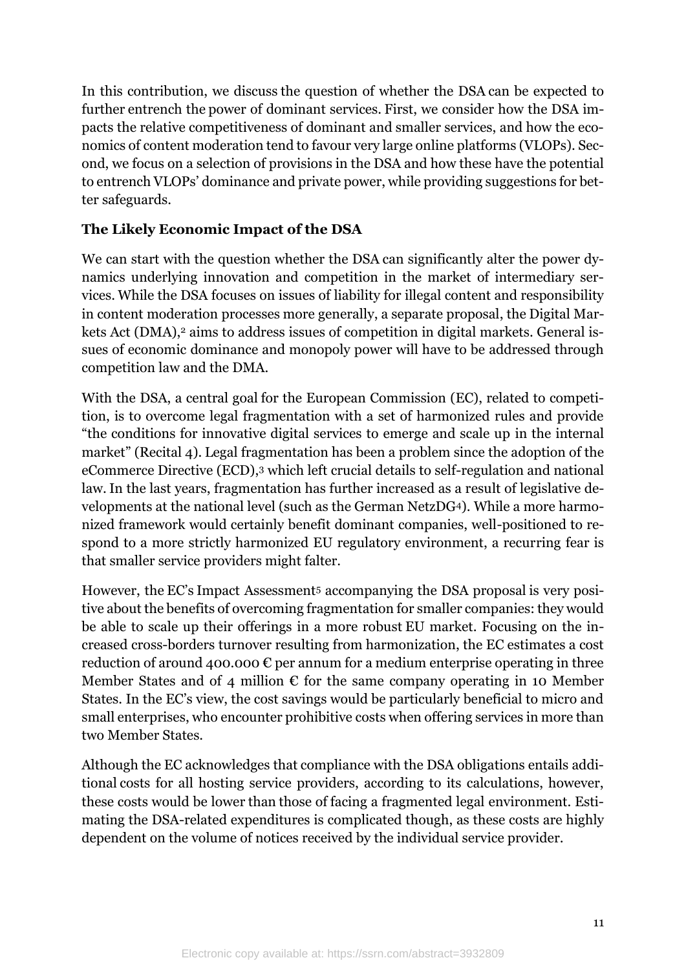In this contribution, we discuss the question of whether the DSA can be expected to further entrench the power of dominant services. First, we consider how the DSA impacts the relative competitiveness of dominant and smaller services, and how the economics of content moderation tend to favour very large online platforms (VLOPs). Second, we focus on a selection of provisions in the DSA and how these have the potential to entrench VLOPs' dominance and private power, while providing suggestions for better safeguards.

## **The Likely Economic Impact of the DSA**

We can start with the question whether the DSA can significantly alter the power dynamics underlying innovation and competition in the market of intermediary services. While the DSA focuses on issues of liability for illegal content and responsibility in content moderation processes more generally, a separate proposal, the Digital Markets Act (DMA),<sup>2</sup> aims to address issues of competition in digital markets. General issues of economic dominance and monopoly power will have to be addressed through competition law and the DMA.

With the DSA, a central goal for the European Commission (EC), related to competition, is to overcome legal fragmentation with a set of harmonized rules and provide "the conditions for innovative digital services to emerge and scale up in the internal market" (Recital 4). Legal fragmentation has been a problem since the adoption of the eCommerce Directive (ECD),<sup>3</sup> which left crucial details to self-regulation and national law. In the last years, fragmentation has further increased as a result of legislative developments at the national level (such as the German NetzDG4). While a more harmonized framework would certainly benefit dominant companies, well-positioned to respond to a more strictly harmonized EU regulatory environment, a recurring fear is that smaller service providers might falter.

However, the EC's Impact Assessment<sup>5</sup> accompanying the DSA proposal is very positive about the benefits of overcoming fragmentation for smaller companies: they would be able to scale up their offerings in a more robust EU market. Focusing on the increased cross-borders turnover resulting from harmonization, the EC estimates a cost reduction of around 400.000  $\epsilon$  per annum for a medium enterprise operating in three Member States and of 4 million  $\epsilon$  for the same company operating in 10 Member States. In the EC's view, the cost savings would be particularly beneficial to micro and small enterprises, who encounter prohibitive costs when offering services in more than two Member States.

Although the EC acknowledges that compliance with the DSA obligations entails additional costs for all hosting service providers, according to its calculations, however, these costs would be lower than those of facing a fragmented legal environment. Estimating the DSA-related expenditures is complicated though, as these costs are highly dependent on the volume of notices received by the individual service provider.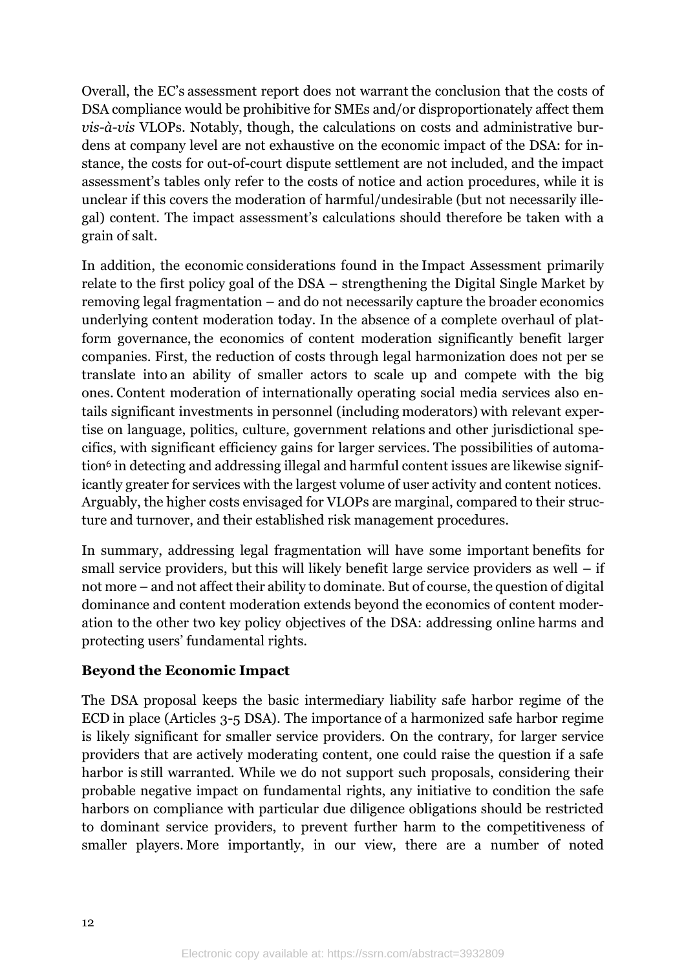Overall, the EC's assessment report does not warrant the conclusion that the costs of DSA compliance would be prohibitive for SMEs and/or disproportionately affect them *vis-à-vis* VLOPs. Notably, though, the calculations on costs and administrative burdens at company level are not exhaustive on the economic impact of the DSA: for instance, the costs for out-of-court dispute settlement are not included, and the impact assessment's tables only refer to the costs of notice and action procedures, while it is unclear if this covers the moderation of harmful/undesirable (but not necessarily illegal) content. The impact assessment's calculations should therefore be taken with a grain of salt.

In addition, the economic considerations found in the Impact Assessment primarily relate to the first policy goal of the DSA – strengthening the Digital Single Market by removing legal fragmentation – and do not necessarily capture the broader economics underlying content moderation today. In the absence of a complete overhaul of platform governance, the economics of content moderation significantly benefit larger companies. First, the reduction of costs through legal harmonization does not per se translate into an ability of smaller actors to scale up and compete with the big ones. Content moderation of internationally operating social media services also entails significant investments in personnel (including moderators) with relevant expertise on language, politics, culture, government relations and other jurisdictional specifics, with significant efficiency gains for larger services. The possibilities of automation<sup>6</sup> in detecting and addressing illegal and harmful content issues are likewise significantly greater for services with the largest volume of user activity and content notices. Arguably, the higher costs envisaged for VLOPs are marginal, compared to their structure and turnover, and their established risk management procedures.

In summary, addressing legal fragmentation will have some important benefits for small service providers, but this will likely benefit large service providers as well – if not more – and not affect their ability to dominate. But of course, the question of digital dominance and content moderation extends beyond the economics of content moderation to the other two key policy objectives of the DSA: addressing online harms and protecting users' fundamental rights.

### **Beyond the Economic Impact**

The DSA proposal keeps the basic intermediary liability safe harbor regime of the ECD in place (Articles 3-5 DSA). The importance of a harmonized safe harbor regime is likely significant for smaller service providers. On the contrary, for larger service providers that are actively moderating content, one could raise the question if a safe harbor is still warranted. While we do not support such proposals, considering their probable negative impact on fundamental rights, any initiative to condition the safe harbors on compliance with particular due diligence obligations should be restricted to dominant service providers, to prevent further harm to the competitiveness of smaller players. More importantly, in our view, there are a number of noted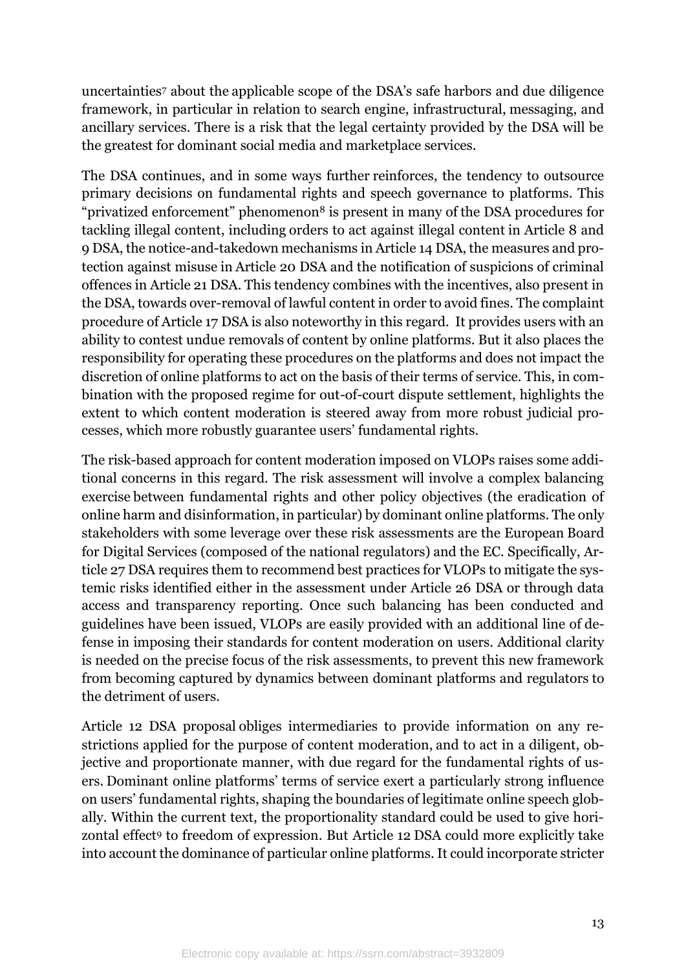uncertainties<sup>7</sup> about the applicable scope of the DSA's safe harbors and due diligence framework, in particular in relation to search engine, infrastructural, messaging, and ancillary services. There is a risk that the legal certainty provided by the DSA will be the greatest for dominant social media and marketplace services.

The DSA continues, and in some ways further reinforces, the tendency to outsource primary decisions on fundamental rights and speech governance to platforms. This "privatized enforcement" phenomenon<sup>8</sup> is present in many of the DSA procedures for tackling illegal content, including orders to act against illegal content in Article 8 and 9 DSA, the notice-and-takedown mechanisms in Article 14 DSA, the measures and protection against misuse in Article 20 DSA and the notification of suspicions of criminal offences in Article 21 DSA. This tendency combines with the incentives, also present in the DSA, towards over-removal of lawful content in order to avoid fines. The complaint procedure of Article 17 DSA is also noteworthy in this regard. It provides users with an ability to contest undue removals of content by online platforms. But it also places the responsibility for operating these procedures on the platforms and does not impact the discretion of online platforms to act on the basis of their terms of service. This, in combination with the proposed regime for out-of-court dispute settlement, highlights the extent to which content moderation is steered away from more robust judicial processes, which more robustly guarantee users' fundamental rights.

The risk-based approach for content moderation imposed on VLOPs raises some additional concerns in this regard. The risk assessment will involve a complex balancing exercise between fundamental rights and other policy objectives (the eradication of online harm and disinformation, in particular) by dominant online platforms. The only stakeholders with some leverage over these risk assessments are the European Board for Digital Services (composed of the national regulators) and the EC. Specifically, Article 27 DSA requires them to recommend best practices for VLOPs to mitigate the systemic risks identified either in the assessment under Article 26 DSA or through data access and transparency reporting. Once such balancing has been conducted and guidelines have been issued, VLOPs are easily provided with an additional line of defense in imposing their standards for content moderation on users. Additional clarity is needed on the precise focus of the risk assessments, to prevent this new framework from becoming captured by dynamics between dominant platforms and regulators to the detriment of users.

Article 12 DSA proposal obliges intermediaries to provide information on any restrictions applied for the purpose of content moderation, and to act in a diligent, objective and proportionate manner, with due regard for the fundamental rights of users. Dominant online platforms' terms of service exert a particularly strong influence on users' fundamental rights, shaping the boundaries of legitimate online speech globally. Within the current text, the proportionality standard could be used to give horizontal effect<sup>9</sup> to freedom of expression. But Article 12 DSA could more explicitly take into account the dominance of particular online platforms. It could incorporate stricter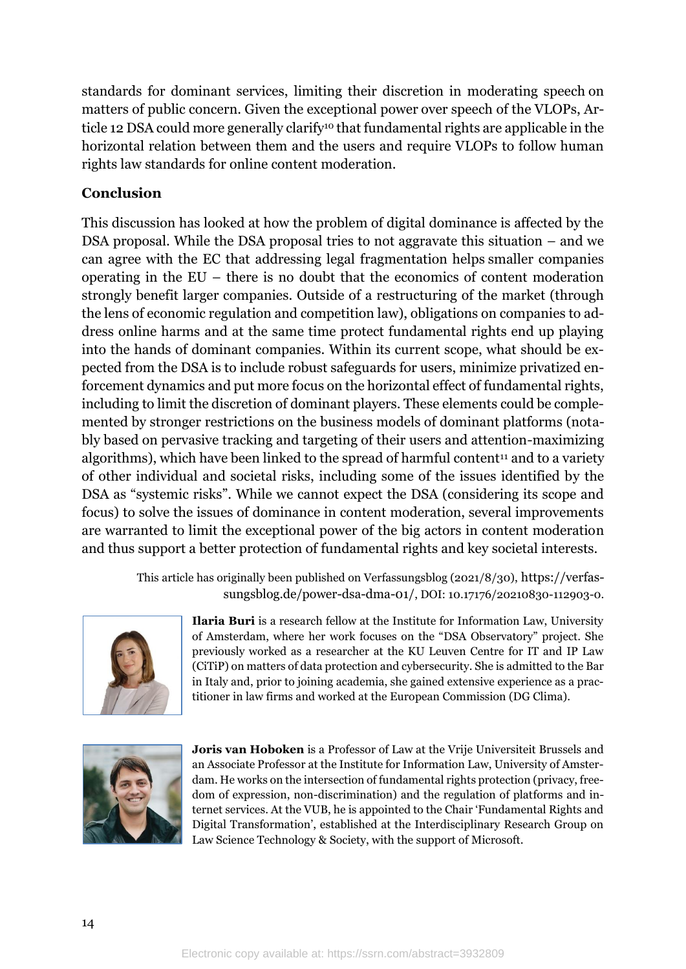standards for dominant services, limiting their discretion in moderating speech on matters of public concern. Given the exceptional power over speech of the VLOPs, Article 12 DSA could more generally clarify<sup>10</sup> that fundamental rights are applicable in the horizontal relation between them and the users and require VLOPs to follow human rights law standards for online content moderation.

## **Conclusion**

This discussion has looked at how the problem of digital dominance is affected by the DSA proposal. While the DSA proposal tries to not aggravate this situation – and we can agree with the EC that addressing legal fragmentation helps smaller companies operating in the EU – there is no doubt that the economics of content moderation strongly benefit larger companies. Outside of a restructuring of the market (through the lens of economic regulation and competition law), obligations on companies to address online harms and at the same time protect fundamental rights end up playing into the hands of dominant companies. Within its current scope, what should be expected from the DSA is to include robust safeguards for users, minimize privatized enforcement dynamics and put more focus on the horizontal effect of fundamental rights, including to limit the discretion of dominant players. These elements could be complemented by stronger restrictions on the business models of dominant platforms (notably based on pervasive tracking and targeting of their users and attention-maximizing algorithms), which have been linked to the spread of harmful content<sup>11</sup> and to a variety of other individual and societal risks, including some of the issues identified by the DSA as "systemic risks". While we cannot expect the DSA (considering its scope and focus) to solve the issues of dominance in content moderation, several improvements are warranted to limit the exceptional power of the big actors in content moderation and thus support a better protection of fundamental rights and key societal interests.

> This article has originally been published on Verfassungsblog (2021/8/30), [https://verfas](https://verfassungsblog.de/power-dsa-dma-01/)[sungsblog.de/power-dsa-dma-01/](https://verfassungsblog.de/power-dsa-dma-01/), DOI: 10.17176/20210830-112903-0.



**Ilaria Buri** is a research fellow at the Institute for Information Law, University of Amsterdam, where her work focuses on the "DSA Observatory" project. She previously worked as a researcher at the KU Leuven Centre for IT and IP Law (CiTiP) on matters of data protection and cybersecurity. She is admitted to the Bar in Italy and, prior to joining academia, she gained extensive experience as a practitioner in law firms and worked at the European Commission (DG Clima).



**Joris van Hoboken** is a Professor of Law at the Vrije Universiteit Brussels and an Associate Professor at the Institute for Information Law, University of Amsterdam. He works on the intersection of fundamental rights protection (privacy, freedom of expression, non-discrimination) and the regulation of platforms and internet services. At the VUB, he is appointed to the Chair 'Fundamental Rights and Digital Transformation', established at the Interdisciplinary Research Group on Law Science Technology & Society, with the support of Microsoft.